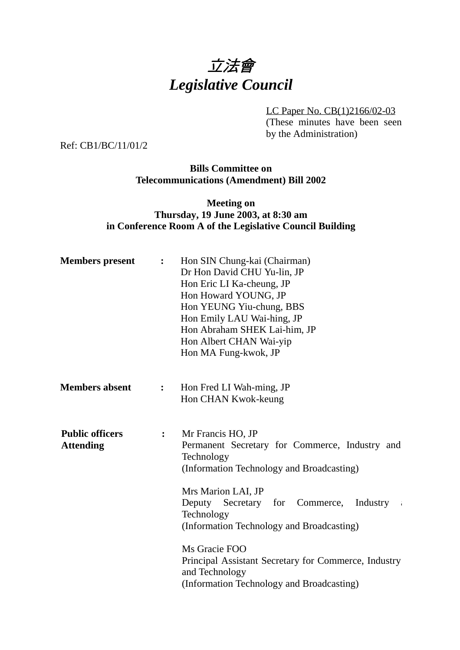

LC Paper No. CB(1)2166/02-03 (These minutes have been seen

by the Administration)

Ref: CB1/BC/11/01/2

**Bills Committee on Telecommunications (Amendment) Bill 2002**

# **Meeting on Thursday, 19 June 2003, at 8:30 am in Conference Room A of the Legislative Council Building**

| <b>Members</b> present                     | $\ddot{\cdot}$         | Hon SIN Chung-kai (Chairman)<br>Dr Hon David CHU Yu-lin, JP<br>Hon Eric LI Ka-cheung, JP<br>Hon Howard YOUNG, JP<br>Hon YEUNG Yiu-chung, BBS<br>Hon Emily LAU Wai-hing, JP<br>Hon Abraham SHEK Lai-him, JP<br>Hon Albert CHAN Wai-yip<br>Hon MA Fung-kwok, JP                                                                                 |
|--------------------------------------------|------------------------|-----------------------------------------------------------------------------------------------------------------------------------------------------------------------------------------------------------------------------------------------------------------------------------------------------------------------------------------------|
| <b>Members absent</b>                      | : $\ddot{\phantom{0}}$ | Hon Fred LI Wah-ming, JP<br>Hon CHAN Kwok-keung                                                                                                                                                                                                                                                                                               |
| <b>Public officers</b><br><b>Attending</b> | $\ddot{\cdot}$         | Mr Francis HO, JP<br>Permanent Secretary for Commerce, Industry and<br>Technology<br>(Information Technology and Broadcasting)<br>Mrs Marion LAI, JP<br>Deputy Secretary for Commerce,<br>Industry<br>- i<br>Technology<br>(Information Technology and Broadcasting)<br>Ms Gracie FOO<br>Principal Assistant Secretary for Commerce, Industry |
|                                            |                        | and Technology<br>(Information Technology and Broadcasting)                                                                                                                                                                                                                                                                                   |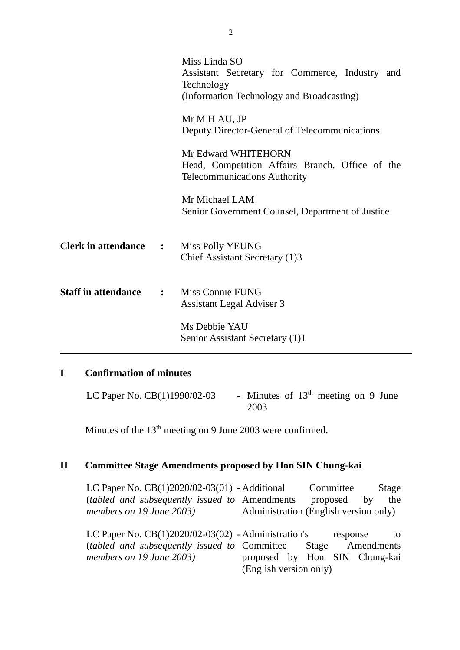|                                | Miss Linda SO<br>Assistant Secretary for Commerce, Industry and<br>Technology<br>(Information Technology and Broadcasting) |
|--------------------------------|----------------------------------------------------------------------------------------------------------------------------|
|                                | Mr M H AU, JP<br>Deputy Director-General of Telecommunications                                                             |
|                                | Mr Edward WHITEHORN<br>Head, Competition Affairs Branch, Office of the<br><b>Telecommunications Authority</b>              |
|                                | Mr Michael LAM<br>Senior Government Counsel, Department of Justice                                                         |
| <b>Clerk in attendance :</b>   | Miss Polly YEUNG<br>Chief Assistant Secretary (1)3                                                                         |
| <b>Staff in attendance : :</b> | Miss Connie FUNG<br>Assistant Legal Adviser 3                                                                              |
|                                | Ms Debbie YAU<br>Senior Assistant Secretary (1)1                                                                           |

# **I Confirmation of minutes**

LC Paper No.  $CB(1)1990/02-03$  - Minutes of  $13<sup>th</sup>$  meeting on 9 June 2003

Minutes of the  $13<sup>th</sup>$  meeting on 9 June 2003 were confirmed.

#### **II Committee Stage Amendments proposed by Hon SIN Chung-kai**

LC Paper No. CB(1)2020/02-03(01) - Additional Committee Stage (*tabled and subsequently issued to* Amendments proposed by the *members on 19 June 2003)* Administration (English version only)

LC Paper No. CB(1)2020/02-03(02) - Administration's response to (*tabled and subsequently issued to members on 19 June 2003)* Stage Amendments proposed by Hon SIN Chung-kai (English version only)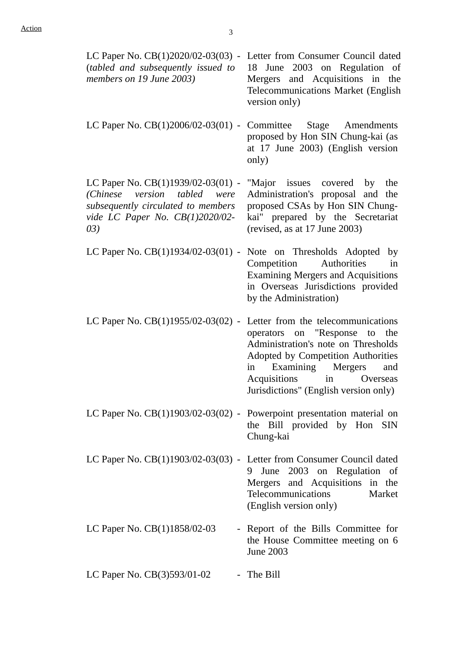| LC Paper No. CB(1)2020/02-03(03) - Letter from Consumer Council dated<br>(tabled and subsequently issued to<br>members on 19 June 2003)                           | June 2003 on Regulation of<br>18<br>Mergers and Acquisitions in the<br>Telecommunications Market (English<br>version only)                                                                                                                              |
|-------------------------------------------------------------------------------------------------------------------------------------------------------------------|---------------------------------------------------------------------------------------------------------------------------------------------------------------------------------------------------------------------------------------------------------|
| LC Paper No. $CB(1)2006/02-03(01)$ - Committee Stage Amendments                                                                                                   | proposed by Hon SIN Chung-kai (as<br>at 17 June 2003) (English version<br>only)                                                                                                                                                                         |
| LC Paper No. CB(1)1939/02-03(01) -<br>tabled<br>(Chinese)<br>version<br>were<br>subsequently circulated to members<br>vide LC Paper No. $CB(1)2020/02$ -<br>(0.3) | "Major issues covered by<br>the<br>Administration's proposal and the<br>proposed CSAs by Hon SIN Chung-<br>kai" prepared by the Secretariat<br>(revised, as at 17 June 2003)                                                                            |
| LC Paper No. $CB(1)1934/02-03(01)$ -                                                                                                                              | Note on Thresholds Adopted by<br>Authorities<br>Competition<br>in<br><b>Examining Mergers and Acquisitions</b><br>in Overseas Jurisdictions provided<br>by the Administration)                                                                          |
| LC Paper No. $CB(1)1955/02-03(02)$ - Letter from the telecommunications                                                                                           | operators on "Response"<br>to<br>the<br>Administration's note on Thresholds<br><b>Adopted by Competition Authorities</b><br>Examining Mergers<br>and<br>in<br>Acquisitions<br>Overseas<br>$\sin$ $\frac{1}{2}$<br>Jurisdictions" (English version only) |
| LC Paper No. $CB(1)1903/02-03(02)$ - Powerpoint presentation material on                                                                                          | the Bill provided by Hon SIN<br>Chung-kai                                                                                                                                                                                                               |
| LC Paper No. $CB(1)1903/02-03(03)$ - Letter from Consumer Council dated                                                                                           | June 2003 on Regulation of<br>9<br>Mergers and Acquisitions in the<br>Telecommunications<br>Market<br>(English version only)                                                                                                                            |
| LC Paper No. CB(1)1858/02-03                                                                                                                                      | - Report of the Bills Committee for<br>the House Committee meeting on 6<br><b>June 2003</b>                                                                                                                                                             |
| LC Paper No. CB(3)593/01-02                                                                                                                                       | - The Bill                                                                                                                                                                                                                                              |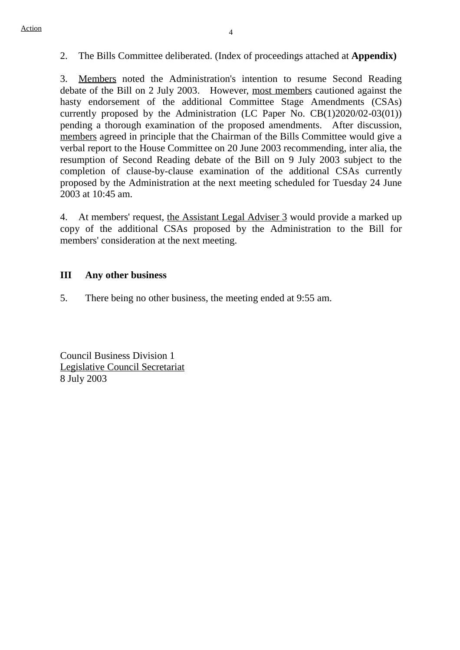### 2. The Bills Committee deliberated. (Index of proceedings attached at **Appendix)**

3. Members noted the Administration's intention to resume Second Reading debate of the Bill on 2 July 2003. However, most members cautioned against the hasty endorsement of the additional Committee Stage Amendments (CSAs) currently proposed by the Administration (LC Paper No. CB(1)2020/02-03(01)) pending a thorough examination of the proposed amendments. After discussion, members agreed in principle that the Chairman of the Bills Committee would give a verbal report to the House Committee on 20 June 2003 recommending, inter alia, the resumption of Second Reading debate of the Bill on 9 July 2003 subject to the completion of clause-by-clause examination of the additional CSAs currently proposed by the Administration at the next meeting scheduled for Tuesday 24 June 2003 at 10:45 am.

4. At members' request, the Assistant Legal Adviser 3 would provide a marked up copy of the additional CSAs proposed by the Administration to the Bill for members' consideration at the next meeting.

#### **III Any other business**

5. There being no other business, the meeting ended at 9:55 am.

Council Business Division 1 Legislative Council Secretariat 8 July 2003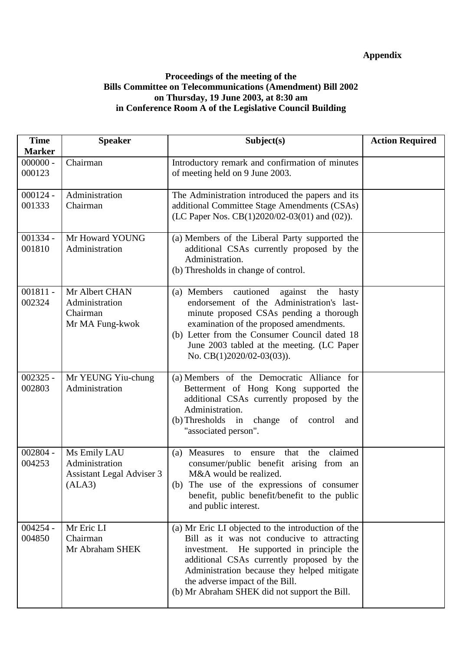### **Appendix**

### **Proceedings of the meeting of the Bills Committee on Telecommunications (Amendment) Bill 2002 on Thursday, 19 June 2003, at 8:30 am in Conference Room A of the Legislative Council Building**

| <b>Time</b><br><b>Marker</b> | <b>Speaker</b>                                                        | Subject(s)                                                                                                                                                                                                                                                                                                                    | <b>Action Required</b> |
|------------------------------|-----------------------------------------------------------------------|-------------------------------------------------------------------------------------------------------------------------------------------------------------------------------------------------------------------------------------------------------------------------------------------------------------------------------|------------------------|
| $000000 -$<br>000123         | Chairman                                                              | Introductory remark and confirmation of minutes<br>of meeting held on 9 June 2003.                                                                                                                                                                                                                                            |                        |
| $000124 -$<br>001333         | Administration<br>Chairman                                            | The Administration introduced the papers and its<br>additional Committee Stage Amendments (CSAs)<br>(LC Paper Nos. CB(1)2020/02-03(01) and (02)).                                                                                                                                                                             |                        |
| $001334 -$<br>001810         | Mr Howard YOUNG<br>Administration                                     | (a) Members of the Liberal Party supported the<br>additional CSAs currently proposed by the<br>Administration.<br>(b) Thresholds in change of control.                                                                                                                                                                        |                        |
| $001811 -$<br>002324         | Mr Albert CHAN<br>Administration<br>Chairman<br>Mr MA Fung-kwok       | (a) Members<br>cautioned<br>against<br>the<br>hasty<br>endorsement of the Administration's last-<br>minute proposed CSAs pending a thorough<br>examination of the proposed amendments.<br>(b) Letter from the Consumer Council dated 18<br>June 2003 tabled at the meeting. (LC Paper<br>No. CB(1)2020/02-03(03)).            |                        |
| $002325 -$<br>002803         | Mr YEUNG Yiu-chung<br>Administration                                  | (a) Members of the Democratic Alliance for<br>Betterment of Hong Kong supported the<br>additional CSAs currently proposed by the<br>Administration.<br>(b) Thresholds in change of control<br>and<br>"associated person".                                                                                                     |                        |
| $002804 -$<br>004253         | Ms Emily LAU<br>Administration<br>Assistant Legal Adviser 3<br>(ALA3) | claimed<br>Measures<br>the<br>(a)<br>that<br>to<br>ensure<br>consumer/public benefit arising from an<br>M&A would be realized.<br>(b) The use of the expressions of consumer<br>benefit, public benefit/benefit to the public<br>and public interest.                                                                         |                        |
| $004254 -$<br>004850         | Mr Eric LI<br>Chairman<br>Mr Abraham SHEK                             | (a) Mr Eric LI objected to the introduction of the<br>Bill as it was not conducive to attracting<br>investment. He supported in principle the<br>additional CSAs currently proposed by the<br>Administration because they helped mitigate<br>the adverse impact of the Bill.<br>(b) Mr Abraham SHEK did not support the Bill. |                        |